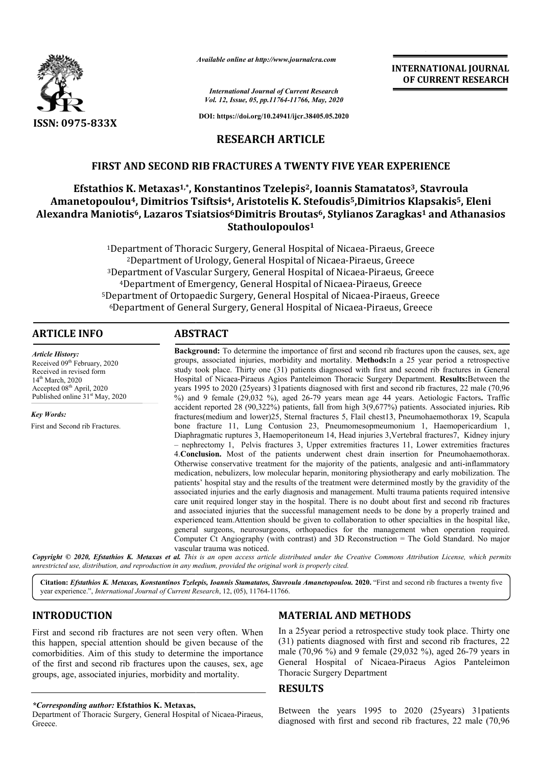

*Available online at http://www.journalcra.com*

*International Journal of Current Research Vol. 12, Issue, 05, pp.11764-11766, May, 2020* **INTERNATIONAL JOURNAL OF CURRENT RESEARCH**

**DOI: https://doi.org/10.24941/ijcr.38405.05.2020**

# **RESEARCH ARTICLE**

# **FIRST AND SECOND RIB FRACTURES A TWENTY FIVE YEAR EXPERIENCE**

# **Efstathios K. Metaxas1,\*, Konstantinos Tzelepis , Tzelepis2, Ioannis Stamatatos , Stamatatos3, Stavroula**  Amanetopoulou<sup>4</sup>, Dimitrios Tsiftsis<sup>4</sup>, Aristotelis K. Stefoudis<sup>5</sup>,Dimitrios Klapsakis<sup>5</sup>, Eleni Alexandra Maniotis<sup>6</sup>, Lazaros Tsiatsios<sup>6</sup>Dimitris Broutas<sup>6</sup>, Stylianos Zaragkas<sup>1</sup> and Athanasios **Stathoulopoulos1**

<sup>1</sup>Department of Thoracic Surgery, General Hospital of Nicaea-Piraeus, Greece <sup>2</sup>Department of Urology, General Hospital of Nicaea-Piraeus, Greece <sup>3</sup>Department of Vascular Surgery, General Hospital of Nicaea-Piraeus, Greece <sup>4</sup>Department of Emergency, General Hospital of Nicaea-Piraeus, Greece <sup>5</sup>Department of Ortopaedic Surgery, General Hospital of Nicaea-Piraeus, Greece Bepartment of Thoracic Surgery, General Hospital of Nicaea-Piraeus, Greece<br>
<sup>2</sup>Department of Urology, General Hospital of Nicaea-Piraeus, Greece<br>
<sup>4</sup>Department of Vascular Surgery, General Hospital of Nicaea-Piraeus, Greec

## **ARTICLE INFO ABSTRACT**

*Article History:* Received 09<sup>th</sup> February, 2020 Received in revised form 14<sup>th</sup> March, 2020 Accepted 08<sup>th</sup> April, 2020 Published online  $31<sup>st</sup>$  May, 2020

*Key Words:*

First and Second rib Fractures.

**Background Background:** To determine the importance of first and second rib fractures upon the causes, sex, age groups, associated injuries, morbidity and mortality. **Methods:**In a 25 year period a retrospective study took place. Thirty one (31) patients diagnosed with first and second rib fractures in General **Background:** To determine the importance of first and second rib fractures upon the causes, sex, age groups, associated injuries, morbidity and mortality. **Methods:**In a 25 year period a retrospective study took place. Th years 1995 to 2020 (25 years) 31 patients diagnosed with first and second rib fractures, 22 male (70,96 years 1995 to 2020 (25 years) 31 patients diagnosed with first and second rib fractures, 22 male (70,96 %) and 9 female (29,032 %), aged 26-79 years mean age 44 years. Aetiologic Factors. Traffic accident reported 28 (90,322%) patients, fall from high 3(9,677%) patients. Associated injuries. Rib fractures(medium and lower)25, Sternal fractures 5, Flail chest13, Pneumohaemothorax 19, Scapula bone fracture 11, Lung Contusion 23, Pneumomesopmeumonium 1, Haemopericardium 1, fractures(medium and lower)25, Sternal fractures 5, Flail chest13, Pneumohaemothorax 19, Scapula<br>bone fracture 11, Lung Contusion 23, Pneumomesopmeumonium 1, Haemopericardium 1,<br>Diaphragmatic ruptures 3, Haemoperitoneum 14 – nephrectomy 1, Pelvis fractures 3, Upper extremities fractures 11, Lower extremities fractures 4.**Conclusion.** Most of the patients underwent chest drain insertion for Pneumohaemothorax. Otherwise conservative treatment for the majority of the patients, analgesic and anti medication, nebulizers, low molecular heparin, monitoring physiotherapy and early mobilization. The patients' hospital stay and the results of the treatment were determined mostly by the gravidity of the associated injuries and the early diagnosis and management. Multi trauma patients required intensive care unit required longer stay in the hospital. There is no doubt about first and second rib fractures and associated injuries that the successful management needs to be done by a properly trained and experienced team. Attention should be given to collaboration to other specialties in the hospital like, general surgeons, neurosurgeons, orthopaedics for the management when operation required. Computer Ct Angiography (with contrast) and  $3D$  Reconstruction = The Gold Standard. No major vascular trauma was noticed. 1, Pelvis fractures 3, Upper extremities fractures 11, Lower extremities fractures Most of the patients underwent chest drain insertion for Pneumohaemothorax.<br>
Extremitive treatment for the majority of the patients, analge care unit required longer stay in the hospital. There is no doubt about first and second rib<br>and associated injuries that the successful management needs to be done by a properly tra<br>experienced team.Attention should be gi

Copyright © 2020, Efstathios K. Metaxas et al. This is an open access article distributed under the Creative Commons Attribution License, which permits *unrestricted use, distribution, and reproduction in any medium, provided the original work is properly cited.*

Citation: *Efstathios K. Metaxas, Konstantinos Tzelepis, Ioannis Stamatatos, Stavroula Amanetopoulou. 2020. "First and second rib fractures a twenty five* year experience.", *International Journal of Current Research* , 12, (05), 11764-11766.

## **INTRODUCTION**

First and second rib fractures are not seen very often. When this happen, special attention should be given because of the comorbidities. Aim of this study to determine the importance of the first and second rib fractures upon the causes, sex, age groups, age, associated injuries, morbidity and mortality.

*\*Corresponding author:* **Efstathios K. Metaxas,**

Department of Thoracic Surgery, General Hospital of Nicaea Nicaea-Piraeus, Greece.

## **MATERIAL AND METHODS**

In a 25year period a retrospective study took place. Thirty one (31) patients diagnosed with first and second rib fractures, 22 In a 25 year period a retrospective study took place. Thirty one (31) patients diagnosed with first and second rib fractures, 22 male (70,96 %) and 9 female (29,032 %), aged 26-79 years in General Hospital of Nicaea Nicaea-Piraeus Agios Panteleimon Thoracic Surgery Department

## **RESULTS**

Between the years 1995 to 2020 (25years) 31patients Between the years 1995 to 2020 (25 years) 31 patients diagnosed with first and second rib fractures, 22 male (70,96)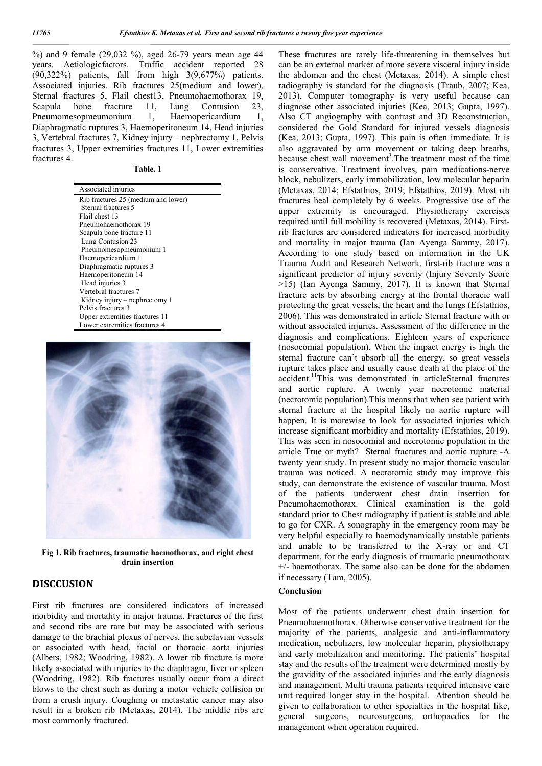%) and 9 female (29,032 %), aged 26-79 years mean age 44 years. Aetiologicfactors. Traffic accident reported 28  $(90,322\%)$  patients, fall from high  $3(9,677\%)$  patients. Associated injuries. Rib fractures 25(medium and lower), Sternal fractures 5, Flail chest13, Pneumohaemothorax 19, Scapula bone fracture 11, Lung Contusion 23, Pneumomesopmeumonium 1, Haemopericardium 1, Diaphragmatic ruptures 3, Haemoperitoneum 14, Head injuries 3, Vertebral fractures 7, Kidney injury – nephrectomy 1, Pelvis fractures 3, Upper extremities fractures 11, Lower extremities fractures 4.

**Table. 1**

| Associated injuries                 |
|-------------------------------------|
| Rib fractures 25 (medium and lower) |
| Sternal fractures 5                 |
| Flail chest 13                      |
| Pneumohaemothorax 19                |
| Scapula bone fracture 11            |
| Lung Contusion 23                   |
| Pneumomesopmeumonium 1              |
| Haemopericardium 1                  |
| Diaphragmatic ruptures 3            |
| Haemoperitoneum 14                  |
| Head injuries 3                     |
| Vertebral fractures 7               |
| Kidney injury – nephrectomy 1       |
| Pelvis fractures 3                  |
| Upper extremities fractures 11      |
| Lower extremities fractures 4       |



**Fig 1. Rib fractures, traumatic haemothorax, and right chest drain insertion**

## **DISCCUSION**

First rib fractures are considered indicators of increased morbidity and mortality in major trauma. Fractures of the first and second ribs are rare but may be associated with serious damage to the brachial plexus of nerves, the subclavian vessels or associated with head, facial or thoracic aorta injuries (Albers, 1982; Woodring, 1982). A lower rib fracture is more likely associated with injuries to the diaphragm, liver or spleen (Woodring, 1982). Rib fractures usually occur from a direct blows to the chest such as during a motor vehicle collision or from a crush injury. Coughing or metastatic cancer may also result in a broken rib (Metaxas, 2014). The middle ribs are most commonly fractured.

These fractures are rarely life-threatening in themselves but can be an external marker of more severe visceral injury inside the abdomen and the chest (Metaxas, 2014). A simple chest radiography is standard for the diagnosis (Traub, 2007; Kea, 2013), Computer tomography is very useful because can diagnose other associated injuries (Kea, 2013; Gupta, 1997). Also CT angiography with contrast and 3D Reconstruction, considered the Gold Standard for injured vessels diagnosis (Kea, 2013; Gupta, 1997). This pain is often immediate. It is also aggravated by arm movement or taking deep breaths, because chest wall movement<sup>3</sup>. The treatment most of the time is conservative. Treatment involves, pain medications-nerve block, nebulizers, early immobilization, low molecular heparin (Metaxas, 2014; Efstathios, 2019; Efstathios, 2019). Most rib fractures heal completely by 6 weeks. Progressive use of the upper extremity is encouraged. Physiotherapy exercises required until full mobility is recovered (Metaxas, 2014). Firstrib fractures are considered indicators for increased morbidity and mortality in major trauma (Ian Ayenga Sammy, 2017). According to one study based on information in the UK Trauma Audit and Research Network, first-rib fracture was a significant predictor of injury severity (Injury Severity Score >15) (Ian Ayenga Sammy, 2017). It is known that Sternal fracture acts by absorbing energy at the frontal thoracic wall protecting the great vessels, the heart and the lungs (Efstathios, 2006). This was demonstrated in article Sternal fracture with or without associated injuries. Assessment of the difference in the diagnosis and complications. Eighteen years of experience (nosocomial population). When the impact energy is high the sternal fracture can't absorb all the energy, so great vessels rupture takes place and usually cause death at the place of the accident.11This was demonstrated in articleSternal fractures and aortic rupture. A twenty year necrotomic material (necrotomic population).This means that when see patient with sternal fracture at the hospital likely no aortic rupture will happen. It is morewise to look for associated injuries which increase significant morbidity and mortality (Efstathios, 2019). This was seen in nosocomial and necrotomic population in the article True or myth? Sternal fractures and aortic rupture -A twenty year study. In present study no major thoracic vascular trauma was noticed. A necrotomic study may improve this study, can demonstrate the existence of vascular trauma. Most of the patients underwent chest drain insertion for Pneumohaemothorax. Clinical examination is the gold standard prior to Chest radiography if patient is stable and able to go for CXR. A sonography in the emergency room may be very helpful especially to haemodynamically unstable patients and unable to be transferred to the X-ray or and CT department, for the early diagnosis of traumatic pneumothorax +/- haemothorax. The same also can be done for the abdomen if necessary (Tam, 2005).

## **Conclusion**

Most of the patients underwent chest drain insertion for Pneumohaemothorax. Otherwise conservative treatment for the majority of the patients, analgesic and anti-inflammatory medication, nebulizers, low molecular heparin, physiotherapy and early mobilization and monitoring. The patients' hospital stay and the results of the treatment were determined mostly by the gravidity of the associated injuries and the early diagnosis and management. Multi trauma patients required intensive care unit required longer stay in the hospital. Attention should be given to collaboration to other specialties in the hospital like, general surgeons, neurosurgeons, orthopaedics for the management when operation required.